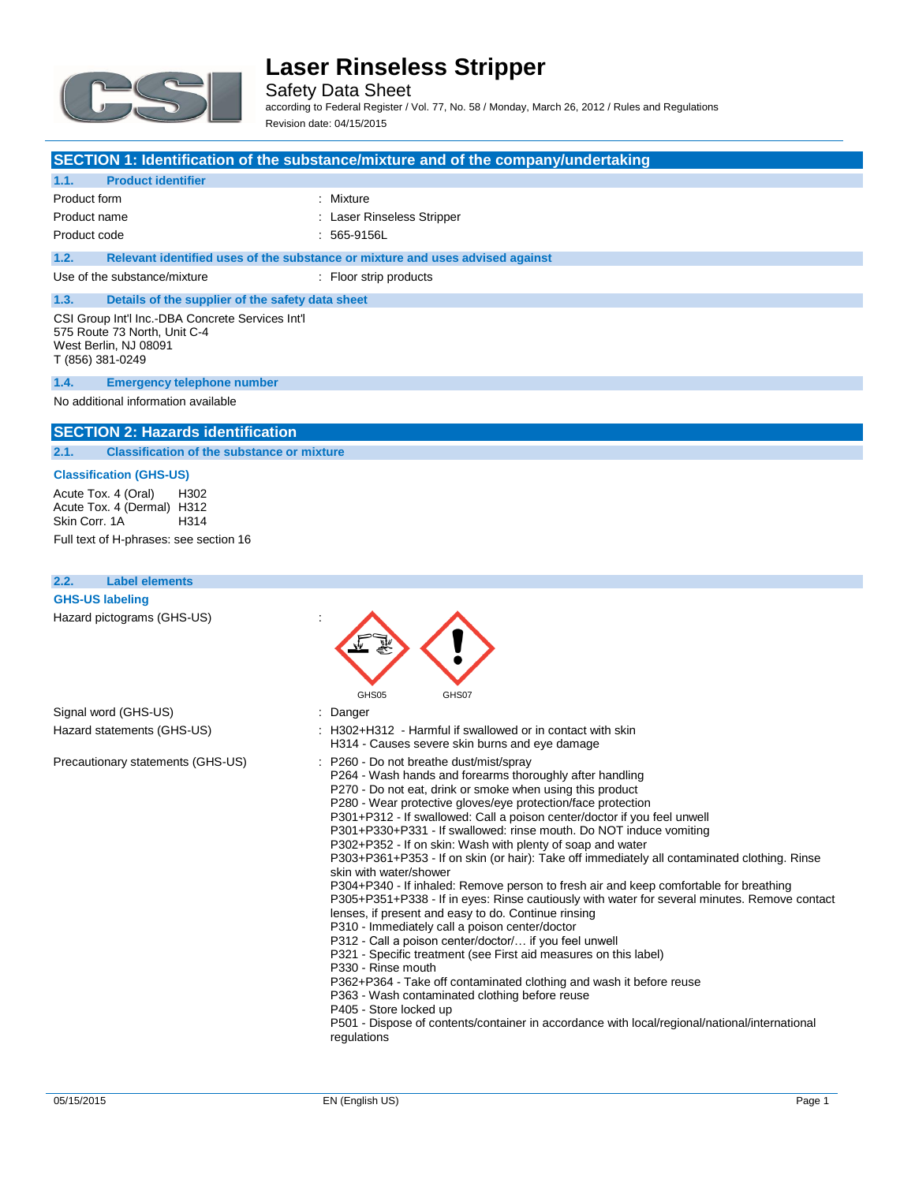

Safety Data Sheet according to Federal Register / Vol. 77, No. 58 / Monday, March 26, 2012 / Rules and Regulations Revision date: 04/15/2015

### **SECTION 1: Identification of the substance/mixture and of the company/undertaking**

### **1.1. Product identifier**

| Product form                 |  | : Mixture                                                                     |
|------------------------------|--|-------------------------------------------------------------------------------|
| Product name                 |  | : Laser Rinseless Stripper                                                    |
| Product code                 |  | $: 565-9156L$                                                                 |
| 1.2.                         |  | Relevant identified uses of the substance or mixture and uses advised against |
| Use of the substance/mixture |  | : Floor strip products                                                        |

# **1.3. Details of the supplier of the safety data sheet**

CSI Group Int'l Inc.-DBA Concrete Services Int'l 575 Route 73 North, Unit C-4 West Berlin, NJ 08091 T (856) 381-0249

#### **1.4. Emergency telephone number**

#### No additional information available

### **SECTION 2: Hazards identification**

**2.1. Classification of the substance or mixture**

#### **Classification (GHS-US)**

Acute Tox. 4 (Oral) H302 Acute Tox. 4 (Dermal) H312<br>Skin Corr. 1A H314 Skin Corr. 1A

Full text of H-phrases: see section 16

| 2.2.<br><b>Label elements</b>     |                                                                                                                                                                                                                                                                                                                                                                                                                                                                                                                                                                                                                                                                                                                                                                                                                                                                                                                                                                                                                                                                                                                                                                                                                                                                                                     |
|-----------------------------------|-----------------------------------------------------------------------------------------------------------------------------------------------------------------------------------------------------------------------------------------------------------------------------------------------------------------------------------------------------------------------------------------------------------------------------------------------------------------------------------------------------------------------------------------------------------------------------------------------------------------------------------------------------------------------------------------------------------------------------------------------------------------------------------------------------------------------------------------------------------------------------------------------------------------------------------------------------------------------------------------------------------------------------------------------------------------------------------------------------------------------------------------------------------------------------------------------------------------------------------------------------------------------------------------------------|
| <b>GHS-US labeling</b>            |                                                                                                                                                                                                                                                                                                                                                                                                                                                                                                                                                                                                                                                                                                                                                                                                                                                                                                                                                                                                                                                                                                                                                                                                                                                                                                     |
| Hazard pictograms (GHS-US)        | GHS05<br>GHS07                                                                                                                                                                                                                                                                                                                                                                                                                                                                                                                                                                                                                                                                                                                                                                                                                                                                                                                                                                                                                                                                                                                                                                                                                                                                                      |
| Signal word (GHS-US)              | : Danger                                                                                                                                                                                                                                                                                                                                                                                                                                                                                                                                                                                                                                                                                                                                                                                                                                                                                                                                                                                                                                                                                                                                                                                                                                                                                            |
| Hazard statements (GHS-US)        | : H302+H312 - Harmful if swallowed or in contact with skin<br>H314 - Causes severe skin burns and eye damage                                                                                                                                                                                                                                                                                                                                                                                                                                                                                                                                                                                                                                                                                                                                                                                                                                                                                                                                                                                                                                                                                                                                                                                        |
| Precautionary statements (GHS-US) | : P260 - Do not breathe dust/mist/spray<br>P264 - Wash hands and forearms thoroughly after handling<br>P270 - Do not eat, drink or smoke when using this product<br>P280 - Wear protective gloves/eye protection/face protection<br>P301+P312 - If swallowed: Call a poison center/doctor if you feel unwell<br>P301+P330+P331 - If swallowed: rinse mouth. Do NOT induce vomiting<br>P302+P352 - If on skin: Wash with plenty of soap and water<br>P303+P361+P353 - If on skin (or hair): Take off immediately all contaminated clothing. Rinse<br>skin with water/shower<br>P304+P340 - If inhaled: Remove person to fresh air and keep comfortable for breathing<br>P305+P351+P338 - If in eyes: Rinse cautiously with water for several minutes. Remove contact<br>lenses, if present and easy to do. Continue rinsing<br>P310 - Immediately call a poison center/doctor<br>P312 - Call a poison center/doctor/ if you feel unwell<br>P321 - Specific treatment (see First aid measures on this label)<br>P330 - Rinse mouth<br>P362+P364 - Take off contaminated clothing and wash it before reuse<br>P363 - Wash contaminated clothing before reuse<br>P405 - Store locked up<br>P501 - Dispose of contents/container in accordance with local/regional/national/international<br>regulations |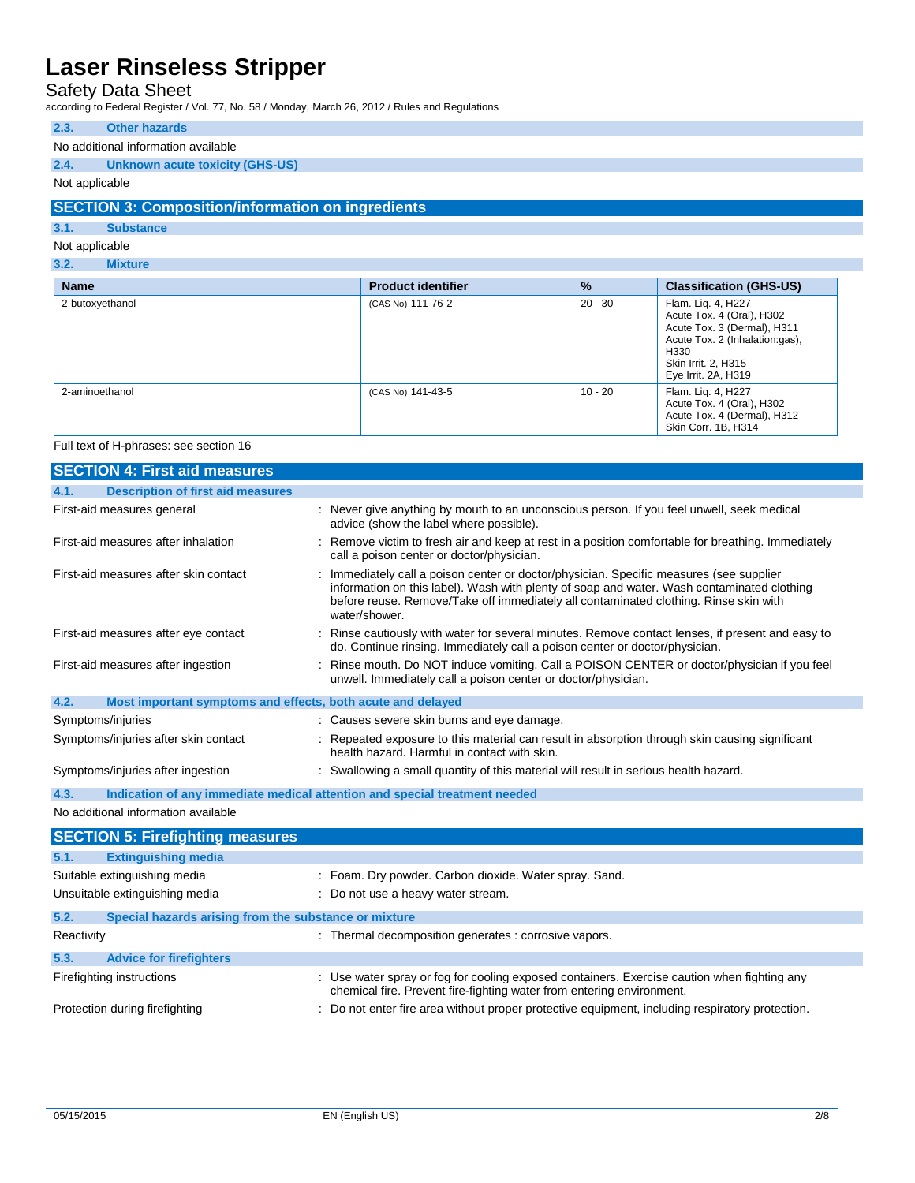## Safety Data Sheet

according to Federal Register / Vol. 77, No. 58 / Monday, March 26, 2012 / Rules and Regulations

#### **2.3. Other hazards**

### No additional information available

## **2.4. Unknown acute toxicity (GHS-US)**

#### Not applicable

### **SECTION 3: Composition/information on ingredients**

#### **3.1. Substance**

### Not applicable

## **3.2. Mixture**

| <b>Name</b>     | <b>Product identifier</b> | $\frac{9}{6}$ | <b>Classification (GHS-US)</b>                                                                                                                                         |
|-----------------|---------------------------|---------------|------------------------------------------------------------------------------------------------------------------------------------------------------------------------|
| 2-butoxyethanol | (CAS No) 111-76-2         | $20 - 30$     | Flam. Liq. 4, H227<br>Acute Tox. 4 (Oral), H302<br>Acute Tox. 3 (Dermal), H311<br>Acute Tox. 2 (Inhalation:gas),<br>H330<br>Skin Irrit. 2, H315<br>Eye Irrit. 2A, H319 |
| 2-aminoethanol  | (CAS No) 141-43-5         | 10 - 20       | Flam. Liq. 4, H227<br>Acute Tox. 4 (Oral), H302<br>Acute Tox. 4 (Dermal), H312<br>Skin Corr. 1B, H314                                                                  |

#### Full text of H-phrases: see section 16

| <b>SECTION 4: First aid measures</b>                                               |                                                                                                                                                                                                                                                                                                |  |  |
|------------------------------------------------------------------------------------|------------------------------------------------------------------------------------------------------------------------------------------------------------------------------------------------------------------------------------------------------------------------------------------------|--|--|
| <b>Description of first aid measures</b><br>4.1.                                   |                                                                                                                                                                                                                                                                                                |  |  |
| First-aid measures general                                                         | : Never give anything by mouth to an unconscious person. If you feel unwell, seek medical<br>advice (show the label where possible).                                                                                                                                                           |  |  |
| First-aid measures after inhalation                                                | : Remove victim to fresh air and keep at rest in a position comfortable for breathing. Immediately<br>call a poison center or doctor/physician.                                                                                                                                                |  |  |
| First-aid measures after skin contact                                              | : Immediately call a poison center or doctor/physician. Specific measures (see supplier<br>information on this label). Wash with plenty of soap and water. Wash contaminated clothing<br>before reuse. Remove/Take off immediately all contaminated clothing. Rinse skin with<br>water/shower. |  |  |
| First-aid measures after eye contact                                               | : Rinse cautiously with water for several minutes. Remove contact lenses, if present and easy to<br>do. Continue rinsing. Immediately call a poison center or doctor/physician.                                                                                                                |  |  |
| First-aid measures after ingestion                                                 | : Rinse mouth. Do NOT induce vomiting. Call a POISON CENTER or doctor/physician if you feel<br>unwell. Immediately call a poison center or doctor/physician.                                                                                                                                   |  |  |
| 4.2.<br>Most important symptoms and effects, both acute and delayed                |                                                                                                                                                                                                                                                                                                |  |  |
| Symptoms/injuries                                                                  | : Causes severe skin burns and eye damage.                                                                                                                                                                                                                                                     |  |  |
| Symptoms/injuries after skin contact                                               | : Repeated exposure to this material can result in absorption through skin causing significant<br>health hazard. Harmful in contact with skin.                                                                                                                                                 |  |  |
| Symptoms/injuries after ingestion                                                  | : Swallowing a small quantity of this material will result in serious health hazard.                                                                                                                                                                                                           |  |  |
| 4.3.<br>Indication of any immediate medical attention and special treatment needed |                                                                                                                                                                                                                                                                                                |  |  |
| No additional information available                                                |                                                                                                                                                                                                                                                                                                |  |  |

|                                | <b>SECTION 5: Firefighting measures</b>               |                                                                                                                                                                      |
|--------------------------------|-------------------------------------------------------|----------------------------------------------------------------------------------------------------------------------------------------------------------------------|
| 5.1.                           | <b>Extinguishing media</b>                            |                                                                                                                                                                      |
|                                | Suitable extinguishing media                          | : Foam. Dry powder. Carbon dioxide. Water spray. Sand.                                                                                                               |
| Unsuitable extinguishing media |                                                       | : Do not use a heavy water stream.                                                                                                                                   |
| 5.2.                           | Special hazards arising from the substance or mixture |                                                                                                                                                                      |
| Reactivity                     |                                                       | : Thermal decomposition generates : corrosive vapors.                                                                                                                |
| 5.3.                           | <b>Advice for firefighters</b>                        |                                                                                                                                                                      |
| Firefighting instructions      |                                                       | : Use water spray or fog for cooling exposed containers. Exercise caution when fighting any<br>chemical fire. Prevent fire-fighting water from entering environment. |
| Protection during firefighting |                                                       | : Do not enter fire area without proper protective equipment, including respiratory protection.                                                                      |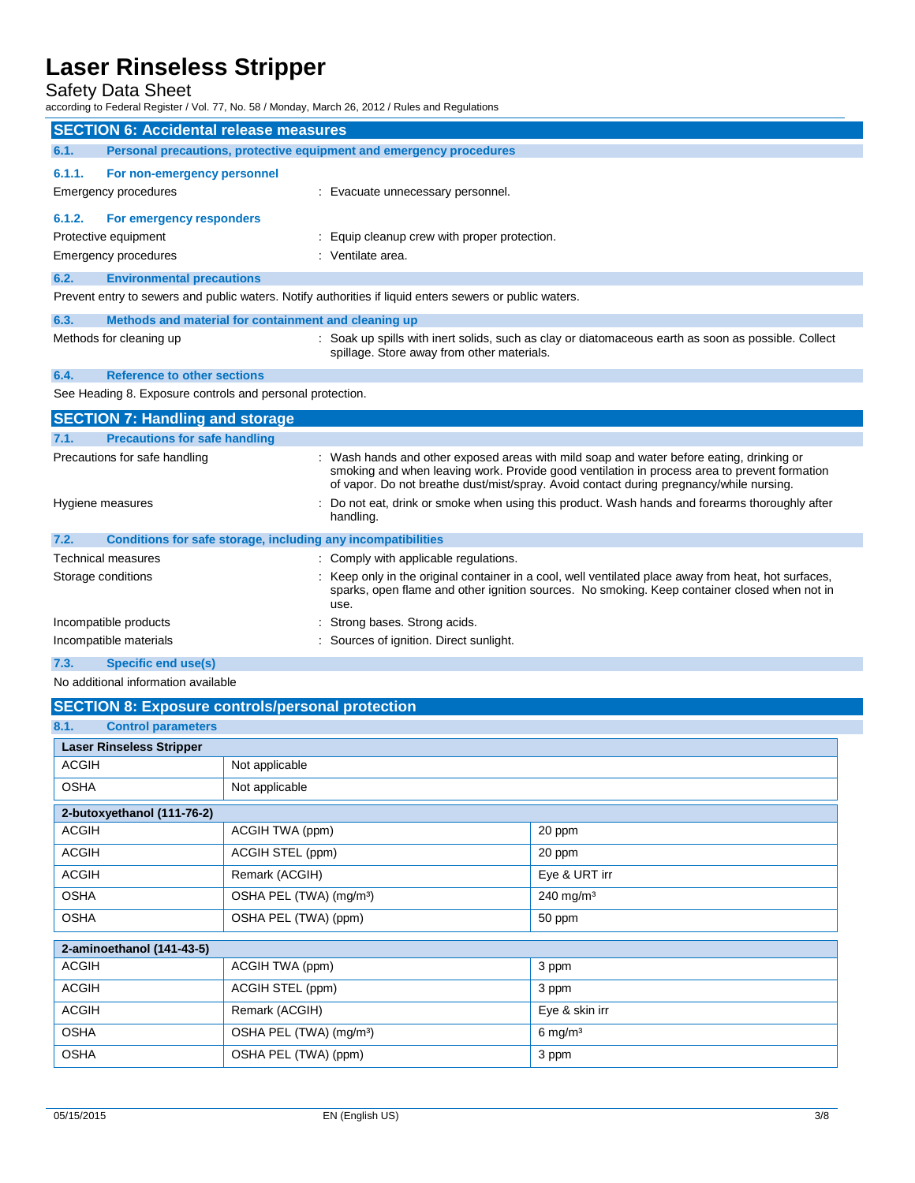## Safety Data Sheet

according to Federal Register / Vol. 77, No. 58 / Monday, March 26, 2012 / Rules and Regulations

|                                               | iccording to Federal Register / Vol. 77, No. 58 / Monday, March 26, 2012 / Rules and Regulations                                                   |                                                                                                                                                                                                                                                                                     |  |  |
|-----------------------------------------------|----------------------------------------------------------------------------------------------------------------------------------------------------|-------------------------------------------------------------------------------------------------------------------------------------------------------------------------------------------------------------------------------------------------------------------------------------|--|--|
| <b>SECTION 6: Accidental release measures</b> |                                                                                                                                                    |                                                                                                                                                                                                                                                                                     |  |  |
| 6.1.                                          | Personal precautions, protective equipment and emergency procedures                                                                                |                                                                                                                                                                                                                                                                                     |  |  |
| 6.1.1.                                        | For non-emergency personnel<br><b>Emergency procedures</b><br>: Evacuate unnecessary personnel.                                                    |                                                                                                                                                                                                                                                                                     |  |  |
| 6.1.2.                                        | For emergency responders<br>Equip cleanup crew with proper protection.<br>Protective equipment<br>: Ventilate area.<br><b>Emergency procedures</b> |                                                                                                                                                                                                                                                                                     |  |  |
| 6.2.                                          | <b>Environmental precautions</b>                                                                                                                   |                                                                                                                                                                                                                                                                                     |  |  |
|                                               |                                                                                                                                                    | Prevent entry to sewers and public waters. Notify authorities if liquid enters sewers or public waters.                                                                                                                                                                             |  |  |
| 6.3.                                          | Methods and material for containment and cleaning up                                                                                               |                                                                                                                                                                                                                                                                                     |  |  |
|                                               | Methods for cleaning up                                                                                                                            | : Soak up spills with inert solids, such as clay or diatomaceous earth as soon as possible. Collect<br>spillage. Store away from other materials.                                                                                                                                   |  |  |
| 6.4.                                          | <b>Reference to other sections</b>                                                                                                                 |                                                                                                                                                                                                                                                                                     |  |  |
|                                               | See Heading 8. Exposure controls and personal protection.                                                                                          |                                                                                                                                                                                                                                                                                     |  |  |
|                                               | <b>SECTION 7: Handling and storage</b>                                                                                                             |                                                                                                                                                                                                                                                                                     |  |  |
| 7.1.                                          | <b>Precautions for safe handling</b>                                                                                                               |                                                                                                                                                                                                                                                                                     |  |  |
| Precautions for safe handling                 |                                                                                                                                                    | : Wash hands and other exposed areas with mild soap and water before eating, drinking or<br>smoking and when leaving work. Provide good ventilation in process area to prevent formation<br>of vapor. Do not breathe dust/mist/spray. Avoid contact during pregnancy/while nursing. |  |  |
| Hygiene measures<br>handling.                 |                                                                                                                                                    | Do not eat, drink or smoke when using this product. Wash hands and forearms thoroughly after                                                                                                                                                                                        |  |  |
| 7.2.                                          | Conditions for safe storage, including any incompatibilities                                                                                       |                                                                                                                                                                                                                                                                                     |  |  |
|                                               | <b>Technical measures</b>                                                                                                                          | : Comply with applicable regulations.                                                                                                                                                                                                                                               |  |  |
| Storage conditions                            |                                                                                                                                                    | : Keep only in the original container in a cool, well ventilated place away from heat, hot surfaces,<br>sparks, open flame and other ignition sources. No smoking. Keep container closed when not in<br>use.                                                                        |  |  |
| Incompatible products                         |                                                                                                                                                    | Strong bases. Strong acids.                                                                                                                                                                                                                                                         |  |  |
| Incompatible materials                        |                                                                                                                                                    | : Sources of ignition. Direct sunlight.                                                                                                                                                                                                                                             |  |  |

**7.3. Specific end use(s)**

No additional information available

## **SECTION 8: Exposure controls/personal protection**

| 8.1.<br><b>Control parameters</b> |                                     |                       |  |
|-----------------------------------|-------------------------------------|-----------------------|--|
| <b>Laser Rinseless Stripper</b>   |                                     |                       |  |
| <b>ACGIH</b><br>Not applicable    |                                     |                       |  |
| <b>OSHA</b>                       | Not applicable                      |                       |  |
| 2-butoxyethanol (111-76-2)        |                                     |                       |  |
| <b>ACGIH</b>                      | ACGIH TWA (ppm)                     | 20 ppm                |  |
| <b>ACGIH</b>                      | ACGIH STEL (ppm)                    | 20 ppm                |  |
| <b>ACGIH</b>                      | Remark (ACGIH)                      | Eye & URT irr         |  |
| <b>OSHA</b>                       | OSHA PEL (TWA) (mg/m <sup>3</sup> ) | 240 mg/m <sup>3</sup> |  |
| <b>OSHA</b>                       | OSHA PEL (TWA) (ppm)                | 50 ppm                |  |
| 2-aminoethanol (141-43-5)         |                                     |                       |  |
| <b>ACGIH</b>                      | ACGIH TWA (ppm)                     | 3 ppm                 |  |
| <b>ACGIH</b>                      | ACGIH STEL (ppm)                    | 3 ppm                 |  |
| <b>ACGIH</b>                      | Remark (ACGIH)                      | Eye & skin irr        |  |
| <b>OSHA</b>                       | OSHA PEL (TWA) (mg/m <sup>3</sup> ) | $6$ mg/m <sup>3</sup> |  |
| <b>OSHA</b>                       | OSHA PEL (TWA) (ppm)                | 3 ppm                 |  |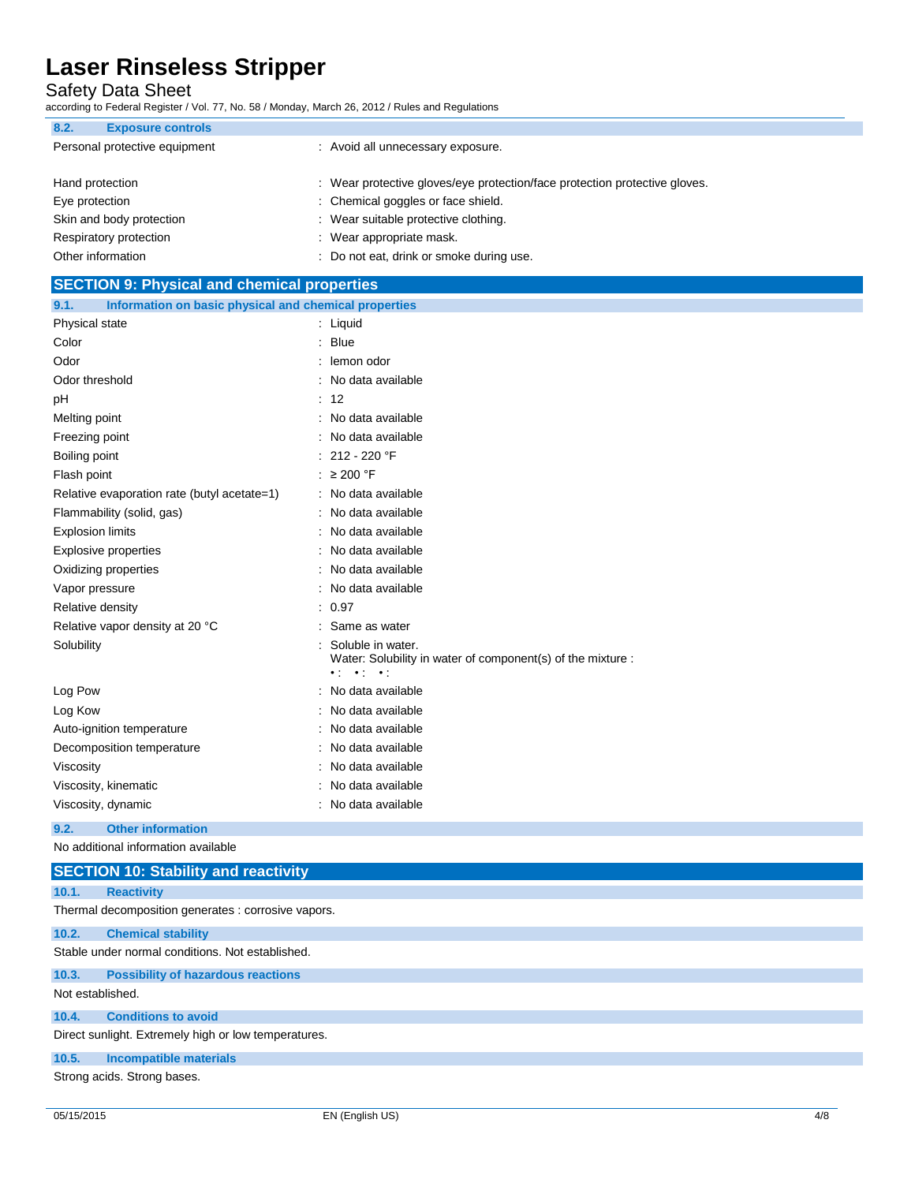Safety Data Sheet

according to Federal Register / Vol. 77, No. 58 / Monday, March 26, 2012 / Rules and Regulations

| 8.2.<br><b>Exposure controls</b>                                                              |                                          |
|-----------------------------------------------------------------------------------------------|------------------------------------------|
| Personal protective equipment                                                                 | : Avoid all unnecessary exposure.        |
|                                                                                               |                                          |
| : Wear protective gloves/eye protection/face protection protective gloves.<br>Hand protection |                                          |
| Eye protection                                                                                | : Chemical goggles or face shield.       |
| Skin and body protection                                                                      | : Wear suitable protective clothing.     |
| Respiratory protection                                                                        | : Wear appropriate mask.                 |
| Other information                                                                             | : Do not eat, drink or smoke during use. |

| <b>SECTION 9: Physical and chemical properties</b>            |                                                                                                                                     |  |  |
|---------------------------------------------------------------|-------------------------------------------------------------------------------------------------------------------------------------|--|--|
| Information on basic physical and chemical properties<br>9.1. |                                                                                                                                     |  |  |
| Physical state                                                | : Liquid                                                                                                                            |  |  |
| Color                                                         | : Blue                                                                                                                              |  |  |
| Odor                                                          | lemon odor                                                                                                                          |  |  |
| Odor threshold                                                | No data available                                                                                                                   |  |  |
| pH                                                            | 12                                                                                                                                  |  |  |
| Melting point                                                 | No data available                                                                                                                   |  |  |
| Freezing point                                                | No data available                                                                                                                   |  |  |
| Boiling point                                                 | 212 - 220 °F                                                                                                                        |  |  |
| Flash point                                                   | : $\geq 200$ °F                                                                                                                     |  |  |
| Relative evaporation rate (butyl acetate=1)                   | : No data available                                                                                                                 |  |  |
| Flammability (solid, gas)                                     | No data available                                                                                                                   |  |  |
| <b>Explosion limits</b>                                       | No data available                                                                                                                   |  |  |
| <b>Explosive properties</b>                                   | No data available                                                                                                                   |  |  |
| Oxidizing properties                                          | No data available                                                                                                                   |  |  |
| Vapor pressure                                                | No data available                                                                                                                   |  |  |
| Relative density                                              | : 0.97                                                                                                                              |  |  |
| Relative vapor density at 20 °C                               | Same as water                                                                                                                       |  |  |
| Solubility                                                    | Soluble in water.<br>Water: Solubility in water of component(s) of the mixture :<br>$\bullet$ ( $\bullet$ ) $\bullet$ ( $\bullet$ ) |  |  |
| Log Pow                                                       | No data available                                                                                                                   |  |  |
| Log Kow                                                       | No data available                                                                                                                   |  |  |
| Auto-ignition temperature                                     | No data available                                                                                                                   |  |  |
| Decomposition temperature                                     | No data available                                                                                                                   |  |  |
| Viscosity                                                     | No data available                                                                                                                   |  |  |
| Viscosity, kinematic                                          | No data available                                                                                                                   |  |  |
| Viscosity, dynamic                                            | No data available                                                                                                                   |  |  |

#### **9.2. Other information**

No additional information available

|                                                      | <b>SECTION 10: Stability and reactivity</b>         |  |  |  |  |
|------------------------------------------------------|-----------------------------------------------------|--|--|--|--|
| 10.1.                                                | <b>Reactivity</b>                                   |  |  |  |  |
|                                                      | Thermal decomposition generates : corrosive vapors. |  |  |  |  |
| 10.2.                                                | <b>Chemical stability</b>                           |  |  |  |  |
|                                                      | Stable under normal conditions. Not established.    |  |  |  |  |
| 10.3.                                                | <b>Possibility of hazardous reactions</b>           |  |  |  |  |
| Not established.                                     |                                                     |  |  |  |  |
| 10.4.                                                | <b>Conditions to avoid</b>                          |  |  |  |  |
| Direct sunlight. Extremely high or low temperatures. |                                                     |  |  |  |  |
| 10.5.                                                | <b>Incompatible materials</b>                       |  |  |  |  |
|                                                      | Strong acids. Strong bases.                         |  |  |  |  |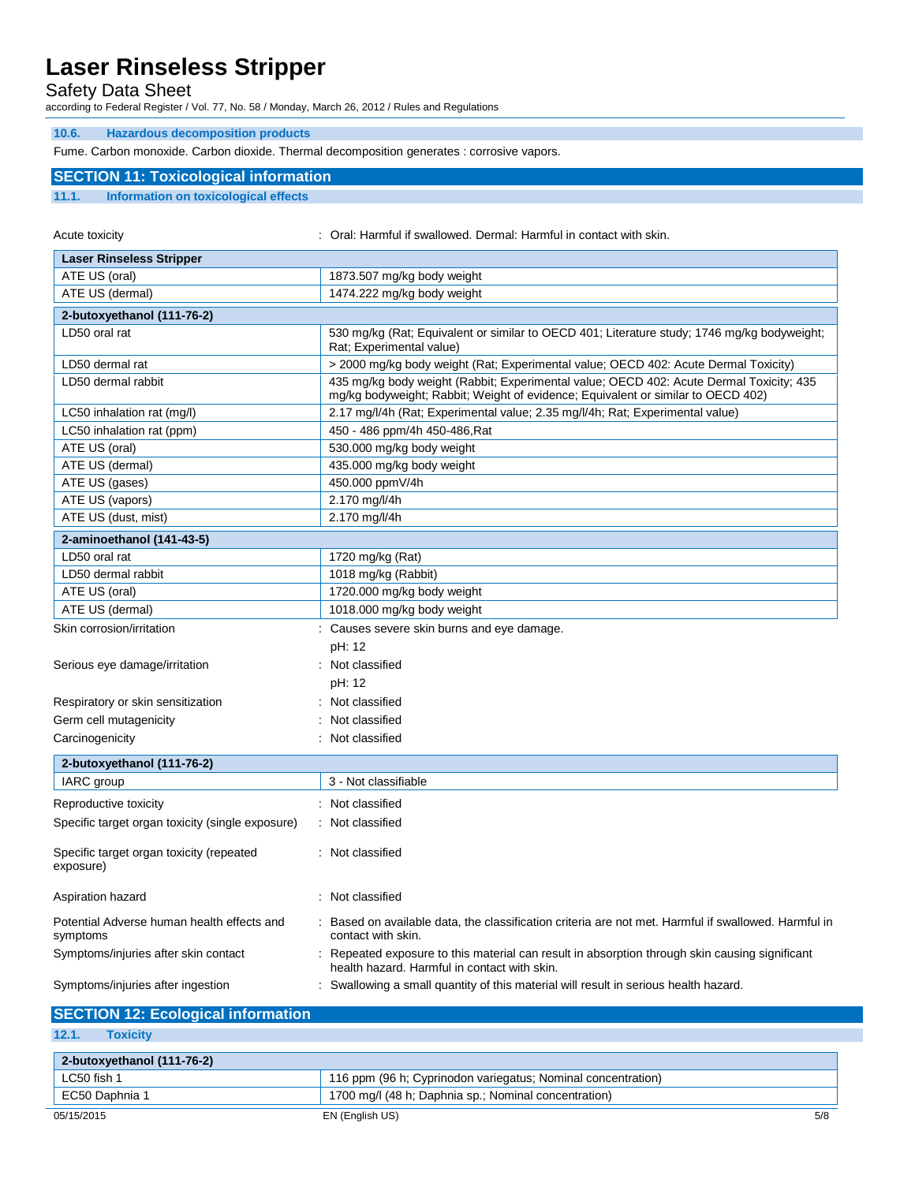Safety Data Sheet

according to Federal Register / Vol. 77, No. 58 / Monday, March 26, 2012 / Rules and Regulations

#### **10.6. Hazardous decomposition products**

Fume. Carbon monoxide. Carbon dioxide. Thermal decomposition generates : corrosive vapors.

### **SECTION 11: Toxicological information**

### **11.1. Information on toxicological effects**

Acute toxicity **in the summallicity** oral: Harmful if swallowed. Dermal: Harmful in contact with skin.

| <b>Laser Rinseless Stripper</b>                        |                                                                                                                                                                             |  |
|--------------------------------------------------------|-----------------------------------------------------------------------------------------------------------------------------------------------------------------------------|--|
| ATE US (oral)                                          | 1873.507 mg/kg body weight                                                                                                                                                  |  |
| ATE US (dermal)                                        | 1474.222 mg/kg body weight                                                                                                                                                  |  |
| 2-butoxyethanol (111-76-2)                             |                                                                                                                                                                             |  |
| LD50 oral rat                                          | 530 mg/kg (Rat; Equivalent or similar to OECD 401; Literature study; 1746 mg/kg bodyweight;<br>Rat; Experimental value)                                                     |  |
| LD50 dermal rat                                        | > 2000 mg/kg body weight (Rat; Experimental value; OECD 402: Acute Dermal Toxicity)                                                                                         |  |
| LD50 dermal rabbit                                     | 435 mg/kg body weight (Rabbit; Experimental value; OECD 402: Acute Dermal Toxicity; 435<br>mg/kg bodyweight; Rabbit; Weight of evidence; Equivalent or similar to OECD 402) |  |
| LC50 inhalation rat (mg/l)                             | 2.17 mg/l/4h (Rat; Experimental value; 2.35 mg/l/4h; Rat; Experimental value)                                                                                               |  |
| LC50 inhalation rat (ppm)                              | 450 - 486 ppm/4h 450-486, Rat                                                                                                                                               |  |
| ATE US (oral)                                          | 530.000 mg/kg body weight                                                                                                                                                   |  |
| ATE US (dermal)                                        | 435.000 mg/kg body weight                                                                                                                                                   |  |
| ATE US (gases)                                         | 450.000 ppmV/4h                                                                                                                                                             |  |
| ATE US (vapors)                                        | 2.170 mg/l/4h                                                                                                                                                               |  |
| ATE US (dust, mist)                                    | 2.170 mg/l/4h                                                                                                                                                               |  |
| 2-aminoethanol (141-43-5)                              |                                                                                                                                                                             |  |
| LD50 oral rat                                          | 1720 mg/kg (Rat)                                                                                                                                                            |  |
| LD50 dermal rabbit                                     | 1018 mg/kg (Rabbit)                                                                                                                                                         |  |
| ATE US (oral)                                          | 1720.000 mg/kg body weight                                                                                                                                                  |  |
| ATE US (dermal)                                        | 1018.000 mg/kg body weight                                                                                                                                                  |  |
| Skin corrosion/irritation                              | : Causes severe skin burns and eye damage.                                                                                                                                  |  |
|                                                        | pH: 12                                                                                                                                                                      |  |
| Serious eye damage/irritation                          | : Not classified                                                                                                                                                            |  |
|                                                        | pH: 12                                                                                                                                                                      |  |
| Respiratory or skin sensitization                      | Not classified                                                                                                                                                              |  |
| Germ cell mutagenicity                                 | Not classified                                                                                                                                                              |  |
| Carcinogenicity                                        | Not classified                                                                                                                                                              |  |
| 2-butoxyethanol (111-76-2)                             |                                                                                                                                                                             |  |
| IARC group                                             | 3 - Not classifiable                                                                                                                                                        |  |
|                                                        |                                                                                                                                                                             |  |
| Reproductive toxicity                                  | : Not classified                                                                                                                                                            |  |
| Specific target organ toxicity (single exposure)       | : Not classified                                                                                                                                                            |  |
| Specific target organ toxicity (repeated<br>exposure)  | : Not classified                                                                                                                                                            |  |
| Aspiration hazard                                      | : Not classified                                                                                                                                                            |  |
| Potential Adverse human health effects and<br>symptoms | Based on available data, the classification criteria are not met. Harmful if swallowed. Harmful in<br>contact with skin.                                                    |  |
| Symptoms/injuries after skin contact                   | : Repeated exposure to this material can result in absorption through skin causing significant<br>health hazard. Harmful in contact with skin.                              |  |
| Symptoms/injuries after ingestion                      | : Swallowing a small quantity of this material will result in serious health hazard.                                                                                        |  |

| <b>SECTION 12: Ecological information</b> |                                                              |  |
|-------------------------------------------|--------------------------------------------------------------|--|
| 12.1.<br><b>Toxicity</b>                  |                                                              |  |
| 2-butoxyethanol (111-76-2)                |                                                              |  |
| LC50 fish 1                               | 116 ppm (96 h; Cyprinodon variegatus; Nominal concentration) |  |
| EC50 Daphnia 1                            | 1700 mg/l (48 h; Daphnia sp.; Nominal concentration)         |  |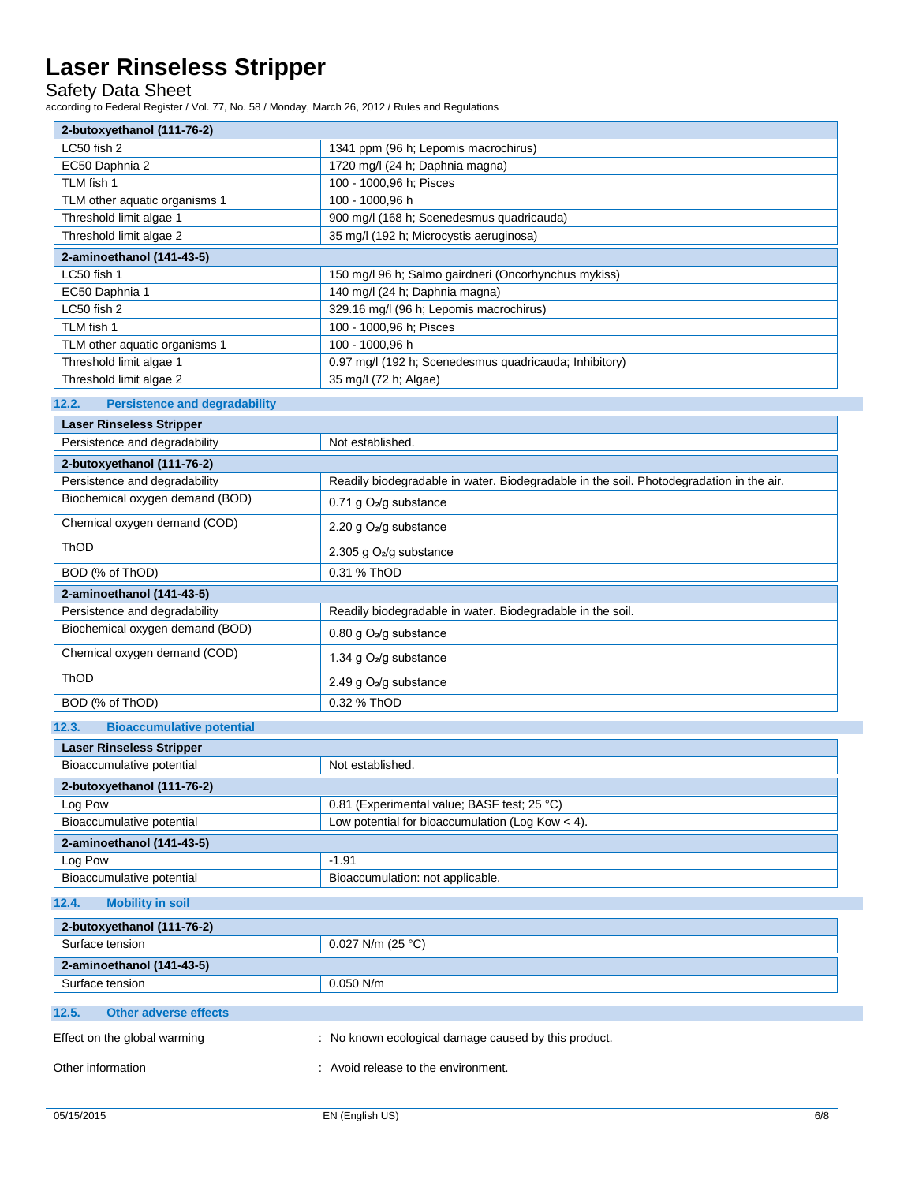Safety Data Sheet

according to Federal Register / Vol. 77, No. 58 / Monday, March 26, 2012 / Rules and Regulations

| 2-butoxyethanol (111-76-2)                                 |                                                                                         |  |  |
|------------------------------------------------------------|-----------------------------------------------------------------------------------------|--|--|
| LC50 fish 2                                                | 1341 ppm (96 h; Lepomis macrochirus)                                                    |  |  |
| EC50 Daphnia 2                                             | 1720 mg/l (24 h; Daphnia magna)                                                         |  |  |
| TLM fish 1                                                 | 100 - 1000,96 h; Pisces                                                                 |  |  |
| TLM other aquatic organisms 1                              | 100 - 1000,96 h                                                                         |  |  |
| Threshold limit algae 1                                    | 900 mg/l (168 h; Scenedesmus quadricauda)                                               |  |  |
| Threshold limit algae 2                                    | 35 mg/l (192 h; Microcystis aeruginosa)                                                 |  |  |
| 2-aminoethanol (141-43-5)                                  |                                                                                         |  |  |
| LC50 fish 1                                                | 150 mg/l 96 h; Salmo gairdneri (Oncorhynchus mykiss)                                    |  |  |
| EC50 Daphnia 1                                             | 140 mg/l (24 h; Daphnia magna)                                                          |  |  |
| LC50 fish 2                                                | 329.16 mg/l (96 h; Lepomis macrochirus)                                                 |  |  |
| TLM fish 1                                                 | 100 - 1000,96 h; Pisces                                                                 |  |  |
| TLM other aquatic organisms 1                              | 100 - 1000,96 h                                                                         |  |  |
| Threshold limit algae 1                                    | 0.97 mg/l (192 h; Scenedesmus quadricauda; Inhibitory)                                  |  |  |
| Threshold limit algae 2                                    | 35 mg/l (72 h; Algae)                                                                   |  |  |
| <b>Persistence and degradability</b><br>12.2.              |                                                                                         |  |  |
| <b>Laser Rinseless Stripper</b>                            |                                                                                         |  |  |
| Persistence and degradability                              | Not established.                                                                        |  |  |
| 2-butoxyethanol (111-76-2)                                 |                                                                                         |  |  |
| Persistence and degradability                              | Readily biodegradable in water. Biodegradable in the soil. Photodegradation in the air. |  |  |
| Biochemical oxygen demand (BOD)                            | 0.71 g O <sub>2</sub> /g substance                                                      |  |  |
| Chemical oxygen demand (COD)                               | 2.20 g O <sub>2</sub> /g substance                                                      |  |  |
| ThOD                                                       | 2.305 g O <sub>2</sub> /g substance                                                     |  |  |
| BOD (% of ThOD)                                            | 0.31 % ThOD                                                                             |  |  |
|                                                            |                                                                                         |  |  |
| 2-aminoethanol (141-43-5)<br>Persistence and degradability |                                                                                         |  |  |
| Biochemical oxygen demand (BOD)                            | Readily biodegradable in water. Biodegradable in the soil.                              |  |  |
|                                                            | 0.80 g $O_2$ /g substance                                                               |  |  |
| Chemical oxygen demand (COD)                               | 1.34 g O <sub>2</sub> /g substance                                                      |  |  |
| ThOD                                                       | 2.49 g O <sub>2</sub> /g substance                                                      |  |  |
| BOD (% of ThOD)                                            | 0.32 % ThOD                                                                             |  |  |
| <b>Bioaccumulative potential</b><br>12.3.                  |                                                                                         |  |  |
| <b>Laser Rinseless Stripper</b>                            |                                                                                         |  |  |
| Bioaccumulative potential                                  | Not established.                                                                        |  |  |
| 2-butoxyethanol (111-76-2)                                 |                                                                                         |  |  |
| Log Pow                                                    | 0.81 (Experimental value; BASF test; 25 °C)                                             |  |  |
| Bioaccumulative potential                                  | Low potential for bioaccumulation (Log Kow $<$ 4).                                      |  |  |
| 2-aminoethanol (141-43-5)                                  |                                                                                         |  |  |
| Log Pow                                                    | $-1.91$                                                                                 |  |  |
| Bioaccumulative potential                                  | Bioaccumulation: not applicable.                                                        |  |  |
| <b>Mobility in soil</b><br>12.4.                           |                                                                                         |  |  |
| 2-butoxyethanol (111-76-2)                                 |                                                                                         |  |  |
| Surface tension                                            | 0.027 N/m (25 °C)                                                                       |  |  |
| 2-aminoethanol (141-43-5)                                  |                                                                                         |  |  |
| Surface tension                                            | 0.050 N/m                                                                               |  |  |
|                                                            |                                                                                         |  |  |
| 12.5.<br><b>Other adverse effects</b>                      |                                                                                         |  |  |
| Effect on the global warming                               | : No known ecological damage caused by this product.                                    |  |  |
| Other information                                          | : Avoid release to the environment.                                                     |  |  |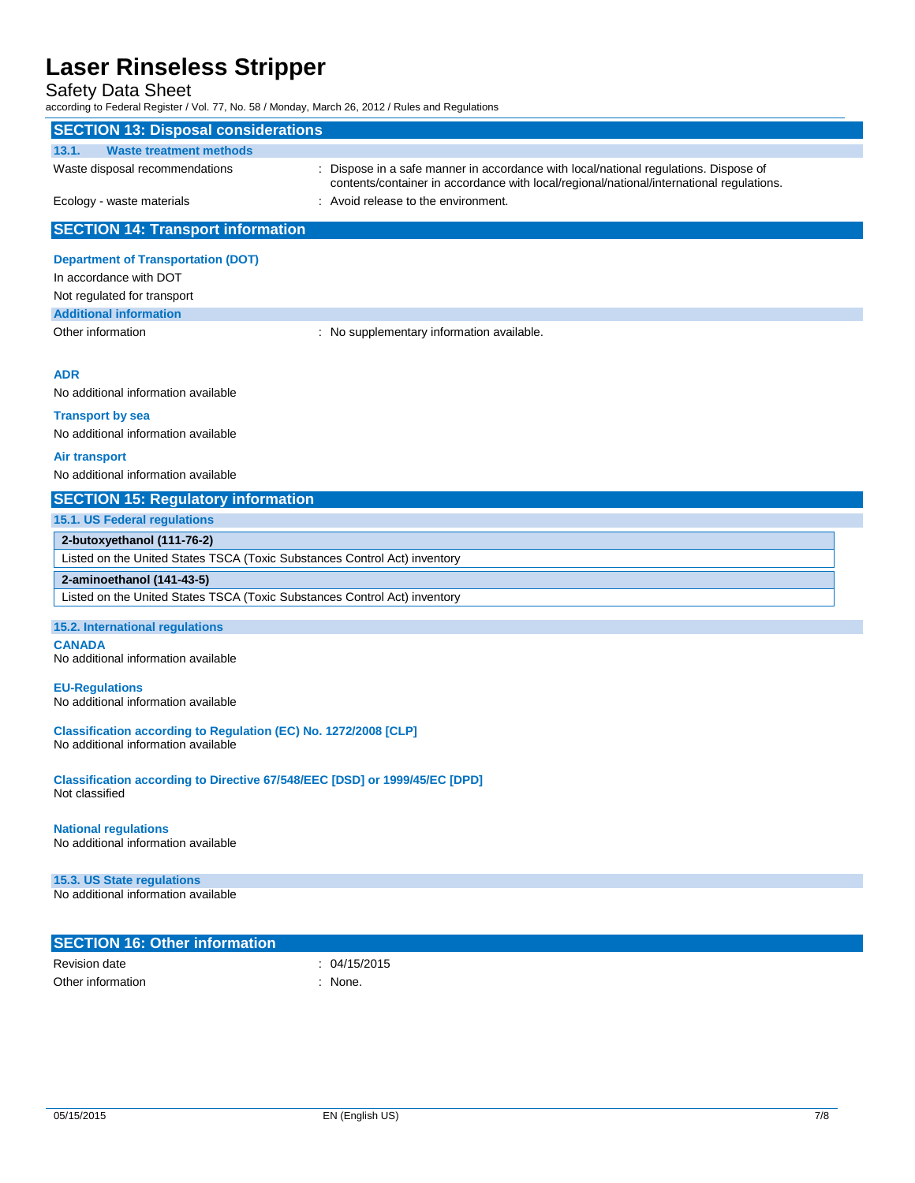## Safety Data Sheet

according to Federal Register / Vol. 77, No. 58 / Monday, March 26, 2012 / Rules and Regulations

| according to I cacial Regional / Vol. 77, No. 00 / Monday, March 20, 2012 / Ruico and Regulation.<br><b>SECTION 13: Disposal considerations</b> |                                                                                          |  |  |  |
|-------------------------------------------------------------------------------------------------------------------------------------------------|------------------------------------------------------------------------------------------|--|--|--|
| 13.1.<br><b>Waste treatment methods</b>                                                                                                         |                                                                                          |  |  |  |
| Waste disposal recommendations                                                                                                                  | : Dispose in a safe manner in accordance with local/national regulations. Dispose of     |  |  |  |
|                                                                                                                                                 | contents/container in accordance with local/regional/national/international regulations. |  |  |  |
| Ecology - waste materials                                                                                                                       | : Avoid release to the environment.                                                      |  |  |  |
|                                                                                                                                                 |                                                                                          |  |  |  |
| <b>SECTION 14: Transport information</b>                                                                                                        |                                                                                          |  |  |  |
| <b>Department of Transportation (DOT)</b>                                                                                                       |                                                                                          |  |  |  |
| In accordance with DOT                                                                                                                          |                                                                                          |  |  |  |
| Not regulated for transport                                                                                                                     |                                                                                          |  |  |  |
| <b>Additional information</b>                                                                                                                   |                                                                                          |  |  |  |
| Other information                                                                                                                               | : No supplementary information available.                                                |  |  |  |
|                                                                                                                                                 |                                                                                          |  |  |  |
| <b>ADR</b>                                                                                                                                      |                                                                                          |  |  |  |
| No additional information available                                                                                                             |                                                                                          |  |  |  |
| <b>Transport by sea</b>                                                                                                                         |                                                                                          |  |  |  |
| No additional information available                                                                                                             |                                                                                          |  |  |  |
| <b>Air transport</b>                                                                                                                            |                                                                                          |  |  |  |
| No additional information available                                                                                                             |                                                                                          |  |  |  |
| <b>SECTION 15: Regulatory information</b>                                                                                                       |                                                                                          |  |  |  |
| 15.1. US Federal regulations                                                                                                                    |                                                                                          |  |  |  |
| 2-butoxyethanol (111-76-2)                                                                                                                      |                                                                                          |  |  |  |
| Listed on the United States TSCA (Toxic Substances Control Act) inventory                                                                       |                                                                                          |  |  |  |
| 2-aminoethanol (141-43-5)                                                                                                                       |                                                                                          |  |  |  |
| Listed on the United States TSCA (Toxic Substances Control Act) inventory                                                                       |                                                                                          |  |  |  |
| 15.2. International regulations                                                                                                                 |                                                                                          |  |  |  |
| <b>CANADA</b>                                                                                                                                   |                                                                                          |  |  |  |
| No additional information available                                                                                                             |                                                                                          |  |  |  |
| <b>EU-Regulations</b>                                                                                                                           |                                                                                          |  |  |  |
| No additional information available                                                                                                             |                                                                                          |  |  |  |
|                                                                                                                                                 |                                                                                          |  |  |  |
| Classification according to Regulation (EC) No. 1272/2008 [CLP]<br>No additional information available                                          |                                                                                          |  |  |  |
|                                                                                                                                                 |                                                                                          |  |  |  |
| Classification according to Directive 67/548/EEC [DSD] or 1999/45/EC [DPD]<br>Not classified                                                    |                                                                                          |  |  |  |
|                                                                                                                                                 |                                                                                          |  |  |  |
| <b>National regulations</b>                                                                                                                     |                                                                                          |  |  |  |
| No additional information available                                                                                                             |                                                                                          |  |  |  |
| 15.3. US State regulations                                                                                                                      |                                                                                          |  |  |  |
| No additional information available                                                                                                             |                                                                                          |  |  |  |
|                                                                                                                                                 |                                                                                          |  |  |  |
| <b>SECTION 16: Other information</b>                                                                                                            |                                                                                          |  |  |  |
| <b>Revision date</b>                                                                                                                            | : 04/15/2015                                                                             |  |  |  |
| Other information                                                                                                                               | : None.                                                                                  |  |  |  |